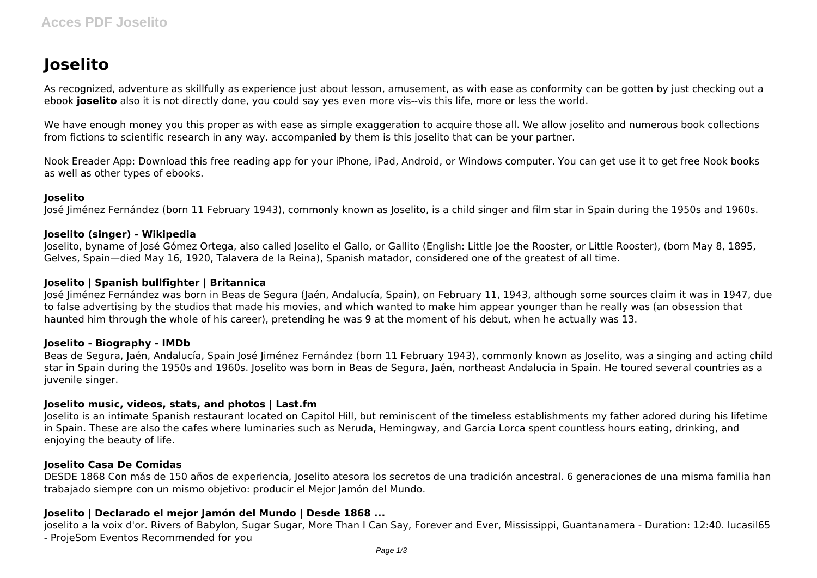# **Joselito**

As recognized, adventure as skillfully as experience just about lesson, amusement, as with ease as conformity can be gotten by just checking out a ebook **joselito** also it is not directly done, you could say yes even more vis--vis this life, more or less the world.

We have enough money you this proper as with ease as simple exaggeration to acquire those all. We allow joselito and numerous book collections from fictions to scientific research in any way. accompanied by them is this joselito that can be your partner.

Nook Ereader App: Download this free reading app for your iPhone, iPad, Android, or Windows computer. You can get use it to get free Nook books as well as other types of ebooks.

#### **Joselito**

José Jiménez Fernández (born 11 February 1943), commonly known as Joselito, is a child singer and film star in Spain during the 1950s and 1960s.

#### **Joselito (singer) - Wikipedia**

Joselito, byname of José Gómez Ortega, also called Joselito el Gallo, or Gallito (English: Little Joe the Rooster, or Little Rooster), (born May 8, 1895, Gelves, Spain—died May 16, 1920, Talavera de la Reina), Spanish matador, considered one of the greatest of all time.

#### **Joselito | Spanish bullfighter | Britannica**

José Jiménez Fernández was born in Beas de Segura (Jaén, Andalucía, Spain), on February 11, 1943, although some sources claim it was in 1947, due to false advertising by the studios that made his movies, and which wanted to make him appear younger than he really was (an obsession that haunted him through the whole of his career), pretending he was 9 at the moment of his debut, when he actually was 13.

#### **Joselito - Biography - IMDb**

Beas de Segura, Jaén, Andalucía, Spain José Jiménez Fernández (born 11 February 1943), commonly known as Joselito, was a singing and acting child star in Spain during the 1950s and 1960s. Joselito was born in Beas de Segura, Jaén, northeast Andalucia in Spain. He toured several countries as a juvenile singer.

#### **Joselito music, videos, stats, and photos | Last.fm**

Joselito is an intimate Spanish restaurant located on Capitol Hill, but reminiscent of the timeless establishments my father adored during his lifetime in Spain. These are also the cafes where luminaries such as Neruda, Hemingway, and Garcia Lorca spent countless hours eating, drinking, and enjoying the beauty of life.

#### **Joselito Casa De Comidas**

DESDE 1868 Con más de 150 años de experiencia, Joselito atesora los secretos de una tradición ancestral. 6 generaciones de una misma familia han trabajado siempre con un mismo objetivo: producir el Mejor Jamón del Mundo.

## **Joselito | Declarado el mejor Jamón del Mundo | Desde 1868 ...**

joselito a la voix d'or. Rivers of Babylon, Sugar Sugar, More Than I Can Say, Forever and Ever, Mississippi, Guantanamera - Duration: 12:40. lucasil65 - ProjeSom Eventos Recommended for you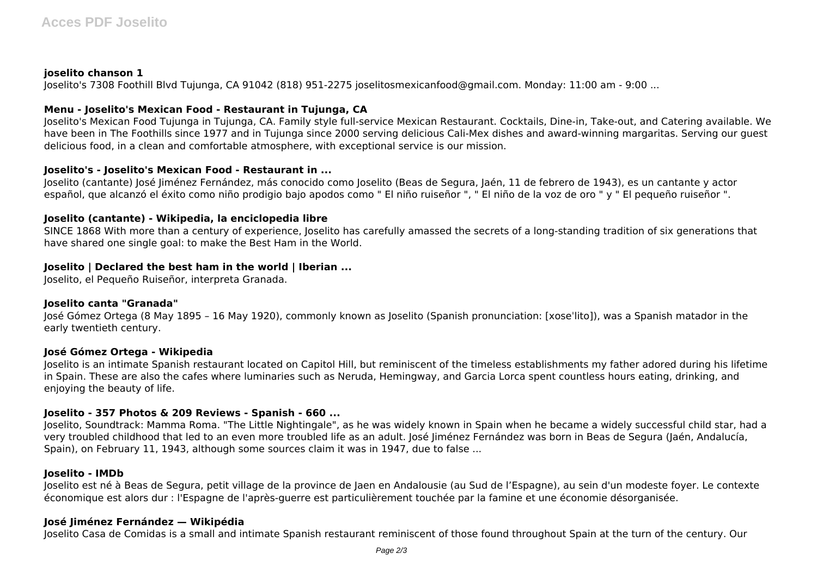## **joselito chanson 1**

Joselito's 7308 Foothill Blvd Tujunga, CA 91042 (818) 951-2275 joselitosmexicanfood@gmail.com. Monday: 11:00 am - 9:00 ...

## **Menu - Joselito's Mexican Food - Restaurant in Tujunga, CA**

Joselito's Mexican Food Tujunga in Tujunga, CA. Family style full-service Mexican Restaurant. Cocktails, Dine-in, Take-out, and Catering available. We have been in The Foothills since 1977 and in Tujunga since 2000 serving delicious Cali-Mex dishes and award-winning margaritas. Serving our guest delicious food, in a clean and comfortable atmosphere, with exceptional service is our mission.

## **Joselito's - Joselito's Mexican Food - Restaurant in ...**

Joselito (cantante) José Jiménez Fernández, más conocido como Joselito (Beas de Segura, Jaén, 11 de febrero de 1943), es un cantante y actor español, que alcanzó el éxito como niño prodigio bajo apodos como " El niño ruiseñor ", " El niño de la voz de oro " y " El pequeño ruiseñor ".

## **Joselito (cantante) - Wikipedia, la enciclopedia libre**

SINCE 1868 With more than a century of experience, Joselito has carefully amassed the secrets of a long-standing tradition of six generations that have shared one single goal: to make the Best Ham in the World.

# **Joselito | Declared the best ham in the world | Iberian ...**

Joselito, el Pequeño Ruiseñor, interpreta Granada.

## **Joselito canta "Granada"**

José Gómez Ortega (8 May 1895 – 16 May 1920), commonly known as Joselito (Spanish pronunciation: [xoseˈlito]), was a Spanish matador in the early twentieth century.

## **José Gómez Ortega - Wikipedia**

Joselito is an intimate Spanish restaurant located on Capitol Hill, but reminiscent of the timeless establishments my father adored during his lifetime in Spain. These are also the cafes where luminaries such as Neruda, Hemingway, and Garcia Lorca spent countless hours eating, drinking, and enjoying the beauty of life.

# **Joselito - 357 Photos & 209 Reviews - Spanish - 660 ...**

Joselito, Soundtrack: Mamma Roma. "The Little Nightingale", as he was widely known in Spain when he became a widely successful child star, had a very troubled childhood that led to an even more troubled life as an adult. José Jiménez Fernández was born in Beas de Segura (Jaén, Andalucía, Spain), on February 11, 1943, although some sources claim it was in 1947, due to false ...

## **Joselito - IMDb**

Joselito est né à Beas de Segura, petit village de la province de Jaen en Andalousie (au Sud de l'Espagne), au sein d'un modeste foyer. Le contexte économique est alors dur : l'Espagne de l'après-guerre est particulièrement touchée par la famine et une économie désorganisée.

## **José Jiménez Fernández — Wikipédia**

Joselito Casa de Comidas is a small and intimate Spanish restaurant reminiscent of those found throughout Spain at the turn of the century. Our